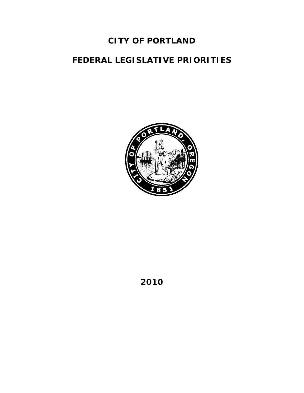# **CITY OF PORTLAND**

# **FEDERAL LEGISLATIVE PRIORITIES**



**2010**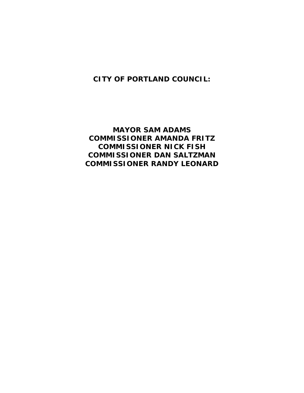**CITY OF PORTLAND COUNCIL:** 

**MAYOR SAM ADAMS COMMISSIONER AMANDA FRITZ COMMISSIONER NICK FISH COMMISSIONER DAN SALTZMAN COMMISSIONER RANDY LEONARD**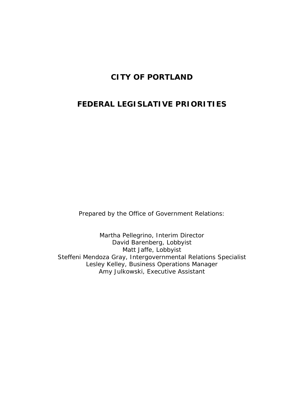# **CITY OF PORTLAND**

# **FEDERAL LEGISLATIVE PRIORITIES**

Prepared by the Office of Government Relations:

Martha Pellegrino, Interim Director David Barenberg, Lobbyist Matt Jaffe, Lobbyist Steffeni Mendoza Gray, Intergovernmental Relations Specialist Lesley Kelley, Business Operations Manager Amy Julkowski, Executive Assistant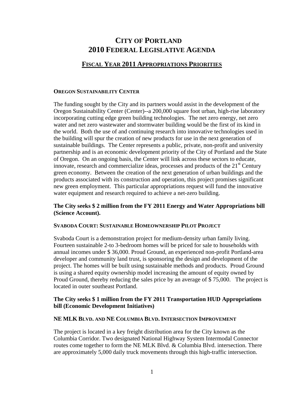## **CITY OF PORTLAND 2010 FEDERAL LEGISLATIVE AGENDA**

### **FISCAL YEAR 2011 APPROPRIATIONS PRIORITIES**

#### **OREGON SUSTAINABILITY CENTER**

The funding sought by the City and its partners would assist in the development of the Oregon Sustainability Center (Center)--a 200,000 square foot urban, high-rise laboratory incorporating cutting edge green building technologies. The net zero energy, net zero water and net zero wastewater and stormwater building would be the first of its kind in the world. Both the use of and continuing research into innovative technologies used in the building will spur the creation of new products for use in the next generation of sustainable buildings. The Center represents a public, private, non-profit and university partnership and is an economic development priority of the City of Portland and the State of Oregon. On an ongoing basis, the Center will link across these sectors to educate, innovate, research and commercialize ideas, processes and products of the  $21<sup>st</sup>$  Century green economy. Between the creation of the next generation of urban buildings and the products associated with its construction and operation, this project promises significant new green employment. This particular appropriations request will fund the innovative water equipment and research required to achieve a net-zero building.

#### **The City seeks \$ 2 million from the FY 2011 Energy and Water Appropriations bill (Science Account).**

#### **SVABODA COURT: SUSTAINABLE HOMEOWNERSHIP PILOT PROJECT**

Svaboda Court is a demonstration project for medium-density urban family living. Fourteen sustainable 2-to 3-bedroom homes will be priced for sale to households with annual incomes under \$ 36,000. Proud Ground, an experienced non-profit Portland-area developer and community land trust, is sponsoring the design and development of the project. The homes will be built using sustainable methods and products. Proud Ground is using a shared equity ownership model increasing the amount of equity owned by Proud Ground, thereby reducing the sales price by an average of \$ 75,000. The project is located in outer southeast Portland.

#### **The City seeks \$ 1 million from the FY 2011 Transportation HUD Appropriations bill (Economic Development Initiatives)**

#### **NE MLK BLVD. AND NE COLUMBIA BLVD. INTERSECTION IMPROVEMENT**

The project is located in a key freight distribution area for the City known as the Columbia Corridor. Two designated National Highway System Intermodal Connector routes come together to form the NE MLK Blvd. & Columbia Blvd. intersection. There are approximately 5,000 daily truck movements through this high-traffic intersection.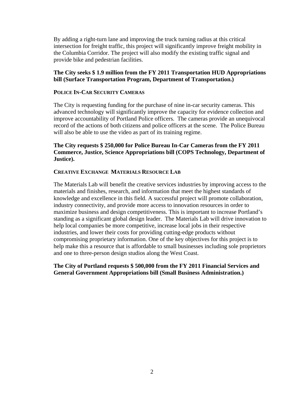By adding a right-turn lane and improving the truck turning radius at this critical intersection for freight traffic, this project will significantly improve freight mobility in the Columbia Corridor. The project will also modify the existing traffic signal and provide bike and pedestrian facilities.

#### **The City seeks \$ 1.9 million from the FY 2011 Transportation HUD Appropriations bill (Surface Transportation Program, Department of Transportation.)**

#### **POLICE IN-CAR SECURITY CAMERAS**

The City is requesting funding for the purchase of nine in-car security cameras. This advanced technology will significantly improve the capacity for evidence collection and improve accountability of Portland Police officers. The cameras provide an unequivocal record of the actions of both citizens and police officers at the scene. The Police Bureau will also be able to use the video as part of its training regime.

#### **The City requests \$ 250,000 for Police Bureau In-Car Cameras from the FY 2011 Commerce, Justice, Science Appropriations bill (COPS Technology, Department of Justice).**

#### **CREATIVE EXCHANGE MATERIALS RESOURCE LAB**

The Materials Lab will benefit the creative services industries by improving access to the materials and finishes, research, and information that meet the highest standards of knowledge and excellence in this field. A successful project will promote collaboration, industry connectivity, and provide more access to innovation resources in order to maximize business and design competitiveness. This is important to increase Portland's standing as a significant global design leader. The Materials Lab will drive innovation to help local companies be more competitive, increase local jobs in their respective industries, and lower their costs for providing cutting-edge products without compromising proprietary information. One of the key objectives for this project is to help make this a resource that is affordable to small businesses including sole proprietors and one to three-person design studios along the West Coast.

#### **The City of Portland requests \$ 500,000 from the FY 2011 Financial Services and General Government Appropriations bill (Small Business Administration.)**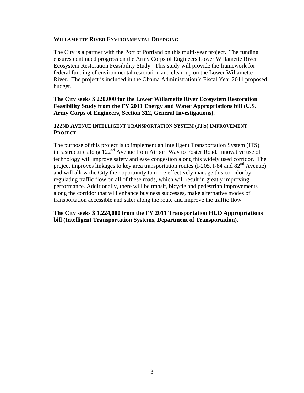#### **WILLAMETTE RIVER ENVIRONMENTAL DREDGING**

The City is a partner with the Port of Portland on this multi-year project. The funding ensures continued progress on the Army Corps of Engineers Lower Willamette River Ecosystem Restoration Feasibility Study. This study will provide the framework for federal funding of environmental restoration and clean-up on the Lower Willamette River. The project is included in the Obama Administration's Fiscal Year 2011 proposed budget.

#### **The City seeks \$ 220,000 for the Lower Willamette River Ecosystem Restoration Feasibility Study from the FY 2011 Energy and Water Appropriations bill (U.S. Army Corps of Engineers, Section 312, General Investigations).**

#### **122ND AVENUE INTELLIGENT TRANSPORTATION SYSTEM (ITS) IMPROVEMENT PROJECT**

The purpose of this project is to implement an Intelligent Transportation System (ITS) infrastructure along 122nd Avenue from Airport Way to Foster Road. Innovative use of technology will improve safety and ease congestion along this widely used corridor. The project improves linkages to key area transportation routes  $(I-205, I-84 \text{ and } 82^{\text{nd}} \text{ Avenue})$ and will allow the City the opportunity to more effectively manage this corridor by regulating traffic flow on all of these roads, which will result in greatly improving performance. Additionally, there will be transit, bicycle and pedestrian improvements along the corridor that will enhance business successes, make alternative modes of transportation accessible and safer along the route and improve the traffic flow.

**The City seeks \$ 1,224,000 from the FY 2011 Transportation HUD Appropriations bill (Intelligent Transportation Systems, Department of Transportation).**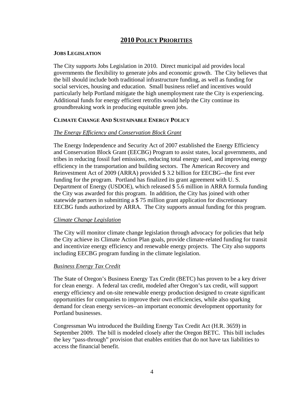### **2010 POLICY PRIORITIES**

#### **JOBS LEGISLATION**

The City supports Jobs Legislation in 2010. Direct municipal aid provides local governments the flexibility to generate jobs and economic growth. The City believes that the bill should include both traditional infrastructure funding, as well as funding for social services, housing and education. Small business relief and incentives would particularly help Portland mitigate the high unemployment rate the City is experiencing. Additional funds for energy efficient retrofits would help the City continue its groundbreaking work in producing equitable green jobs.

#### **CLIMATE CHANGE AND SUSTAINABLE ENERGY POLICY**

#### *The Energy Efficiency and Conservation Block Grant*

The Energy Independence and Security Act of 2007 established the Energy Efficiency and Conservation Block Grant (EECBG) Program to assist states, local governments, and tribes in reducing fossil fuel emissions, reducing total energy used, and improving energy efficiency in the transportation and building sectors. The American Recovery and Reinvestment Act of 2009 (ARRA) provided \$ 3.2 billion for EECBG--the first ever funding for the program. Portland has finalized its grant agreement with U. S. Department of Energy (USDOE), which released \$ 5.6 million in ARRA formula funding the City was awarded for this program. In addition, the City has joined with other statewide partners in submitting a \$ 75 million grant application for discretionary EECBG funds authorized by ARRA. The City supports annual funding for this program.

#### *Climate Change Legislation*

The City will monitor climate change legislation through advocacy for policies that help the City achieve its Climate Action Plan goals, provide climate-related funding for transit and incentivize energy efficiency and renewable energy projects. The City also supports including EECBG program funding in the climate legislation.

#### *Business Energy Tax Credit*

The State of Oregon's Business Energy Tax Credit (BETC) has proven to be a key driver for clean energy. A federal tax credit, modeled after Oregon's tax credit, will support energy efficiency and on-site renewable energy production designed to create significant opportunities for companies to improve their own efficiencies, while also sparking demand for clean energy services--an important economic development opportunity for Portland businesses.

Congressman Wu introduced the Building Energy Tax Credit Act (H.R. 3659) in September 2009. The bill is modeled closely after the Oregon BETC. This bill includes the key "pass-through" provision that enables entities that do not have tax liabilities to access the financial benefit.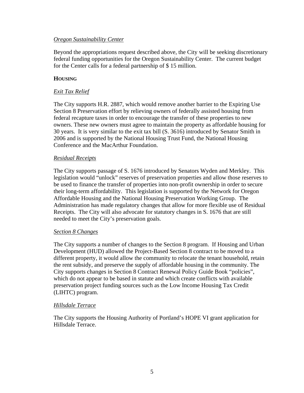#### *Oregon Sustainability Center*

Beyond the appropriations request described above, the City will be seeking discretionary federal funding opportunities for the Oregon Sustainability Center. The current budget for the Center calls for a federal partnership of \$ 15 million.

#### **HOUSING**

#### *Exit Tax Relief*

The City supports H.R. 2887, which would remove another barrier to the Expiring Use Section 8 Preservation effort by relieving owners of federally assisted housing from federal recapture taxes in order to encourage the transfer of these properties to new owners. These new owners must agree to maintain the property as affordable housing for 30 years. It is very similar to the exit tax bill (S. 3616) introduced by Senator Smith in 2006 and is supported by the National Housing Trust Fund, the National Housing Conference and the MacArthur Foundation.

#### *Residual Receipts*

The City supports passage of S. 1676 introduced by Senators Wyden and Merkley. This legislation would "unlock" reserves of preservation properties and allow those reserves to be used to finance the transfer of properties into non-profit ownership in order to secure their long-term affordability. This legislation is supported by the Network for Oregon Affordable Housing and the National Housing Preservation Working Group. The Administration has made regulatory changes that allow for more flexible use of Residual Receipts. The City will also advocate for statutory changes in S. 1676 that are still needed to meet the City's preservation goals.

#### *Section 8 Changes*

The City supports a number of changes to the Section 8 program. If Housing and Urban Development (HUD) allowed the Project-Based Section 8 contract to be moved to a different property, it would allow the community to relocate the tenant household, retain the rent subsidy, and preserve the supply of affordable housing in the community. The City supports changes in Section 8 Contract Renewal Policy Guide Book "policies", which do not appear to be based in statute and which create conflicts with available preservation project funding sources such as the Low Income Housing Tax Credit (LIHTC) program.

#### *Hillsdale Terrace*

The City supports the Housing Authority of Portland's HOPE VI grant application for Hillsdale Terrace.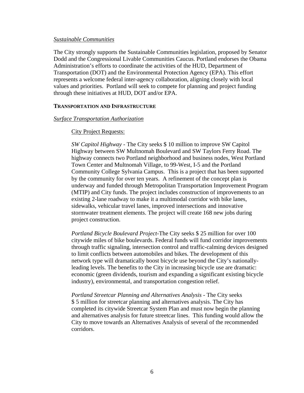#### *Sustainable Communities*

The City strongly supports the Sustainable Communities legislation, proposed by Senator Dodd and the Congressional Livable Communities Caucus. Portland endorses the Obama Administration's efforts to coordinate the activities of the HUD, Department of Transportation (DOT) and the Environmental Protection Agency (EPA). This effort represents a welcome federal inter-agency collaboration, aligning closely with local values and priorities. Portland will seek to compete for planning and project funding through these initiatives at HUD, DOT and/or EPA.

#### **TRANSPORTATION AND INFRASTRUCTURE**

#### *Surface Transportation Authorization*

#### City Project Requests:

*SW Capitol Highway* - The City seeks \$ 10 million to improve SW Capitol Highway between SW Multnomah Boulevard and SW Taylors Ferry Road. The highway connects two Portland neighborhood and business nodes, West Portland Town Center and Multnomah Village, to 99-West, I-5 and the Portland Community College Sylvania Campus. This is a project that has been supported by the community for over ten years. A refinement of the concept plan is underway and funded through Metropolitan Transportation Improvement Program (MTIP) and City funds. The project includes construction of improvements to an existing 2-lane roadway to make it a multimodal corridor with bike lanes, sidewalks, vehicular travel lanes, improved intersections and innovative stormwater treatment elements. The project will create 168 new jobs during project construction.

*Portland Bicycle Boulevard Project-*The City seeks \$ 25 million for over 100 citywide miles of bike boulevards. Federal funds will fund corridor improvements through traffic signaling, intersection control and traffic-calming devices designed to limit conflicts between automobiles and bikes. The development of this network type will dramatically boost bicycle use beyond the City's nationallyleading levels. The benefits to the City in increasing bicycle use are dramatic: economic (green dividends, tourism and expanding a significant existing bicycle industry), environmental, and transportation congestion relief.

*Portland Streetcar Planning and Alternatives Analysis* - The City seeks \$ 5 million for streetcar planning and alternatives analysis. The City has completed its citywide Streetcar System Plan and must now begin the planning and alternatives analysis for future streetcar lines. This funding would allow the City to move towards an Alternatives Analysis of several of the recommended corridors.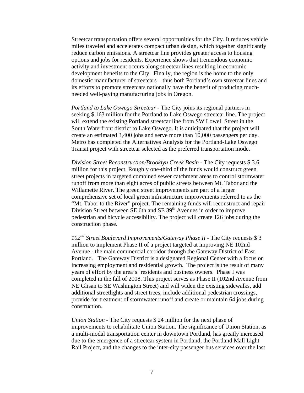Streetcar transportation offers several opportunities for the City. It reduces vehicle miles traveled and accelerates compact urban design, which together significantly reduce carbon emissions. A streetcar line provides greater access to housing options and jobs for residents. Experience shows that tremendous economic activity and investment occurs along streetcar lines resulting in economic development benefits to the City. Finally, the region is the home to the only domestic manufacturer of streetcars – thus both Portland's own streetcar lines and its efforts to promote streetcars nationally have the benefit of producing muchneeded well-paying manufacturing jobs in Oregon.

*Portland to Lake Oswego Streetcar* - The City joins its regional partners in seeking \$ 163 million for the Portland to Lake Oswego streetcar line. The project will extend the existing Portland streetcar line from SW Lowell Street in the South Waterfront district to Lake Oswego. It is anticipated that the project will create an estimated 3,400 jobs and serve more than 10,000 passengers per day. Metro has completed the Alternatives Analysis for the Portland-Lake Oswego Transit project with streetcar selected as the preferred transportation mode.

*Division Street Reconstruction/Brooklyn Creek Basin* - The City requests \$ 3.6 million for this project. Roughly one-third of the funds would construct green street projects in targeted combined sewer catchment areas to control stormwater runoff from more than eight acres of public streets between Mt. Tabor and the Willamette River. The green street improvements are part of a larger comprehensive set of local green infrastructure improvements referred to as the "Mt. Tabor to the River" project. The remaining funds will reconstruct and repair Division Street between SE 6th and SE  $39<sup>th</sup>$  Avenues in order to improve pedestrian and bicycle accessibility. The project will create 126 jobs during the construction phase.

*102nd Street Boulevard Improvements/Gateway Phase II* - The City requests \$ 3 million to implement Phase II of a project targeted at improving NE 102nd Avenue - the main commercial corridor through the Gateway District of East Portland. The Gateway District is a designated Regional Center with a focus on increasing employment and residential growth. The project is the result of many years of effort by the area's 'residents and business owners. Phase I was completed in the fall of 2008. This project serves as Phase II (102nd Avenue from NE Glisan to SE Washington Street) and will widen the existing sidewalks, add additional streetlights and street trees, include additional pedestrian crossings, provide for treatment of stormwater runoff and create or maintain 64 jobs during construction.

*Union Station* - The City requests \$ 24 million for the next phase of improvements to rehabilitate Union Station. The significance of Union Station, as a multi-modal transportation center in downtown Portland, has greatly increased due to the emergence of a streetcar system in Portland, the Portland Mall Light Rail Project, and the changes to the inter-city passenger bus services over the last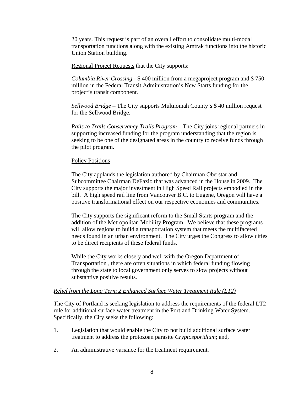20 years. This request is part of an overall effort to consolidate multi-modal transportation functions along with the existing Amtrak functions into the historic Union Station building.

Regional Project Requests that the City supports:

*Columbia River Crossing* - \$ 400 million from a megaproject program and \$ 750 million in the Federal Transit Administration's New Starts funding for the project's transit component.

*Sellwood Bridge* – The City supports Multnomah County's \$ 40 million request for the Sellwood Bridge.

*Rails to Trails Conservancy Trails Program* – The City joins regional partners in supporting increased funding for the program understanding that the region is seeking to be one of the designated areas in the country to receive funds through the pilot program.

#### Policy Positions

The City applauds the legislation authored by Chairman Oberstar and Subcommittee Chairman DeFazio that was advanced in the House in 2009. The City supports the major investment in High Speed Rail projects embodied in the bill. A high speed rail line from Vancouver B.C. to Eugene, Oregon will have a positive transformational effect on our respective economies and communities.

The City supports the significant reform to the Small Starts program and the addition of the Metropolitan Mobility Program. We believe that these programs will allow regions to build a transportation system that meets the multifaceted needs found in an urban environment. The City urges the Congress to allow cities to be direct recipients of these federal funds.

While the City works closely and well with the Oregon Department of Transportation , there are often situations in which federal funding flowing through the state to local government only serves to slow projects without substantive positive results.

#### *Relief from the Long Term 2 Enhanced Surface Water Treatment Rule (LT2)*

The City of Portland is seeking legislation to address the requirements of the federal LT2 rule for additional surface water treatment in the Portland Drinking Water System. Specifically, the City seeks the following:

- 1. Legislation that would enable the City to not build additional surface water treatment to address the protozoan parasite *Cryptosporidium*; and,
- 2. An administrative variance for the treatment requirement.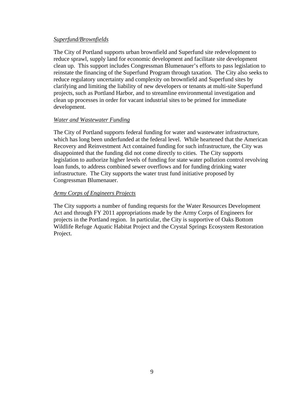#### *Superfund/Brownfields*

The City of Portland supports urban brownfield and Superfund site redevelopment to reduce sprawl, supply land for economic development and facilitate site development clean up. This support includes Congressman Blumenauer's efforts to pass legislation to reinstate the financing of the Superfund Program through taxation. The City also seeks to reduce regulatory uncertainty and complexity on brownfield and Superfund sites by clarifying and limiting the liability of new developers or tenants at multi-site Superfund projects, such as Portland Harbor, and to streamline environmental investigation and clean up processes in order for vacant industrial sites to be primed for immediate development.

#### *Water and Wastewater Funding*

The City of Portland supports federal funding for water and wastewater infrastructure, which has long been underfunded at the federal level. While heartened that the American Recovery and Reinvestment Act contained funding for such infrastructure, the City was disappointed that the funding did not come directly to cities. The City supports legislation to authorize higher levels of funding for state water pollution control revolving loan funds, to address combined sewer overflows and for funding drinking water infrastructure. The City supports the water trust fund initiative proposed by Congressman Blumenauer.

#### *Army Corps of Engineers Projects*

The City supports a number of funding requests for the Water Resources Development Act and through FY 2011 appropriations made by the Army Corps of Engineers for projects in the Portland region. In particular, the City is supportive of Oaks Bottom Wildlife Refuge Aquatic Habitat Project and the Crystal Springs Ecosystem Restoration Project.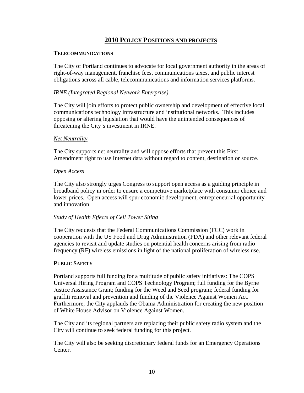### **2010 POLICY POSITIONS AND PROJECTS**

#### **TELECOMMUNICATIONS**

The City of Portland continues to advocate for local government authority in the areas of right-of-way management, franchise fees, communications taxes, and public interest obligations across all cable, telecommunications and information services platforms.

#### *IRNE (Integrated Regional Network Enterprise)*

The City will join efforts to protect public ownership and development of effective local communications technology infrastructure and institutional networks. This includes opposing or altering legislation that would have the unintended consequences of threatening the City's investment in IRNE.

#### *Net Neutrality*

The City supports net neutrality and will oppose efforts that prevent this First Amendment right to use Internet data without regard to content, destination or source.

#### *Open Access*

The City also strongly urges Congress to support open access as a guiding principle in broadband policy in order to ensure a competitive marketplace with consumer choice and lower prices. Open access will spur economic development, entrepreneurial opportunity and innovation.

#### *Study of Health Effects of Cell Tower Siting*

The City requests that the Federal Communications Commission (FCC) work in cooperation with the US Food and Drug Administration (FDA) and other relevant federal agencies to revisit and update studies on potential health concerns arising from radio frequency (RF) wireless emissions in light of the national proliferation of wireless use.

#### **PUBLIC SAFETY**

Portland supports full funding for a multitude of public safety initiatives: The COPS Universal Hiring Program and COPS Technology Program; full funding for the Byrne Justice Assistance Grant; funding for the Weed and Seed program; federal funding for graffiti removal and prevention and funding of the Violence Against Women Act. Furthermore, the City applauds the Obama Administration for creating the new position of White House Advisor on Violence Against Women.

The City and its regional partners are replacing their public safety radio system and the City will continue to seek federal funding for this project.

The City will also be seeking discretionary federal funds for an Emergency Operations Center.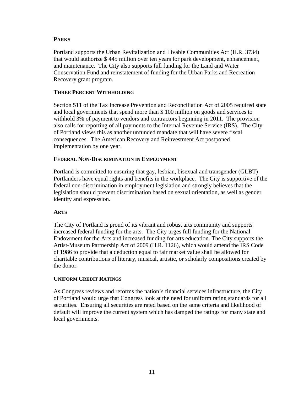#### **PARKS**

Portland supports the Urban Revitalization and Livable Communities Act (H.R. 3734) that would authorize \$ 445 million over ten years for park development, enhancement, and maintenance. The City also supports full funding for the Land and Water Conservation Fund and reinstatement of funding for the Urban Parks and Recreation Recovery grant program.

#### **THREE PERCENT WITHHOLDING**

Section 511 of the Tax Increase Prevention and Reconciliation Act of 2005 required state and local governments that spend more than \$ 100 million on goods and services to withhold 3% of payment to vendors and contractors beginning in 2011. The provision also calls for reporting of all payments to the Internal Revenue Service (IRS). The City of Portland views this as another unfunded mandate that will have severe fiscal consequences. The American Recovery and Reinvestment Act postponed implementation by one year.

#### **FEDERAL NON-DISCRIMINATION IN EMPLOYMENT**

Portland is committed to ensuring that gay, lesbian, bisexual and transgender (GLBT) Portlanders have equal rights and benefits in the workplace. The City is supportive of the federal non-discrimination in employment legislation and strongly believes that the legislation should prevent discrimination based on sexual orientation, as well as gender identity and expression.

#### **ARTS**

The City of Portland is proud of its vibrant and robust arts community and supports increased federal funding for the arts. The City urges full funding for the National Endowment for the Arts and increased funding for arts education. The City supports the Artist-Museum Partnership Act of 2009 (H.R. 1126), which would amend the IRS Code of 1986 to provide that a deduction equal to fair market value shall be allowed for charitable contributions of literary, musical, artistic, or scholarly compositions created by the donor.

#### **UNIFORM CREDIT RATINGS**

As Congress reviews and reforms the nation's financial services infrastructure, the City of Portland would urge that Congress look at the need for uniform rating standards for all securities. Ensuring all securities are rated based on the same criteria and likelihood of default will improve the current system which has damped the ratings for many state and local governments.